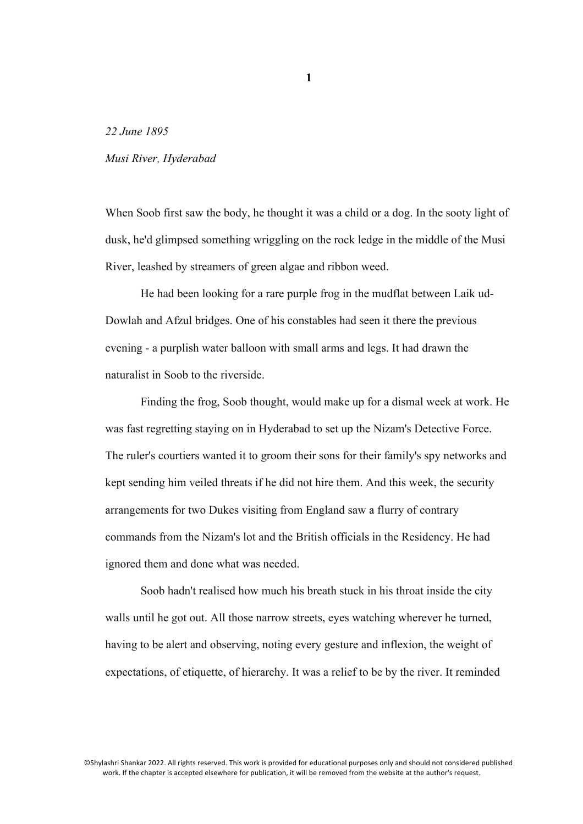*22 June 1895*

## *Musi River, Hyderabad*

When Soob first saw the body, he thought it was a child or a dog. In the sooty light of dusk, he'd glimpsed something wriggling on the rock ledge in the middle of the Musi River, leashed by streamers of green algae and ribbon weed.

He had been looking for a rare purple frog in the mudflat between Laik ud-Dowlah and Afzul bridges. One of his constables had seen it there the previous evening - a purplish water balloon with small arms and legs. It had drawn the naturalist in Soob to the riverside.

Finding the frog, Soob thought, would make up for a dismal week at work. He was fast regretting staying on in Hyderabad to set up the Nizam's Detective Force. The ruler's courtiers wanted it to groom their sons for their family's spy networks and kept sending him veiled threats if he did not hire them. And this week, the security arrangements for two Dukes visiting from England saw a flurry of contrary commands from the Nizam's lot and the British officials in the Residency. He had ignored them and done what was needed.

Soob hadn't realised how much his breath stuck in his throat inside the city walls until he got out. All those narrow streets, eyes watching wherever he turned, having to be alert and observing, noting every gesture and inflexion, the weight of expectations, of etiquette, of hierarchy. It was a relief to be by the river. It reminded

©Shylashri Shankar 2022. All rights reserved. This work is provided for educational purposes only and should not considered published work. If the chapter is accepted elsewhere for publication, it will be removed from the website at the author's request.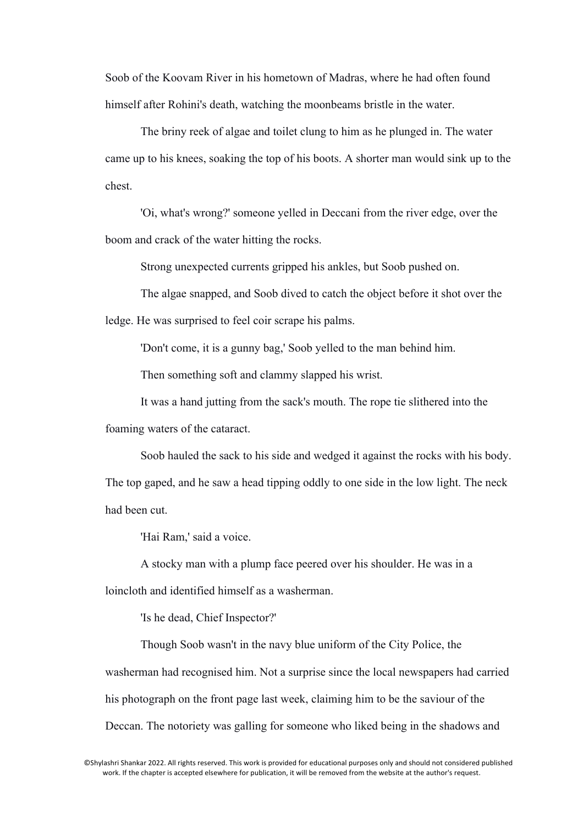Soob of the Koovam River in his hometown of Madras, where he had often found himself after Rohini's death, watching the moonbeams bristle in the water.

The briny reek of algae and toilet clung to him as he plunged in. The water came up to his knees, soaking the top of his boots. A shorter man would sink up to the chest.

'Oi, what's wrong?' someone yelled in Deccani from the river edge, over the boom and crack of the water hitting the rocks.

Strong unexpected currents gripped his ankles, but Soob pushed on.

The algae snapped, and Soob dived to catch the object before it shot over the ledge. He was surprised to feel coir scrape his palms.

'Don't come, it is a gunny bag,' Soob yelled to the man behind him.

Then something soft and clammy slapped his wrist.

It was a hand jutting from the sack's mouth. The rope tie slithered into the foaming waters of the cataract.

Soob hauled the sack to his side and wedged it against the rocks with his body. The top gaped, and he saw a head tipping oddly to one side in the low light. The neck had been cut.

'Hai Ram,' said a voice.

A stocky man with a plump face peered over his shoulder. He was in a loincloth and identified himself as a washerman.

'Is he dead, Chief Inspector?'

Though Soob wasn't in the navy blue uniform of the City Police, the washerman had recognised him. Not a surprise since the local newspapers had carried his photograph on the front page last week, claiming him to be the saviour of the Deccan. The notoriety was galling for someone who liked being in the shadows and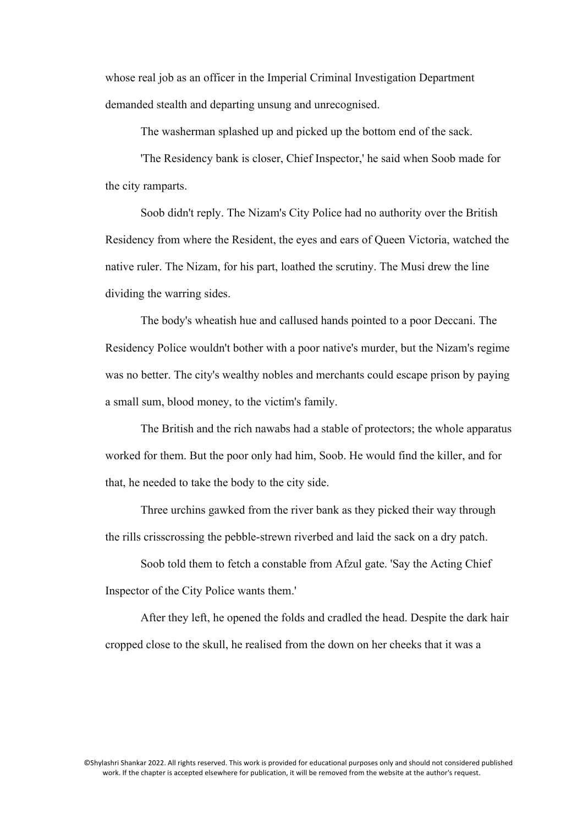whose real job as an officer in the Imperial Criminal Investigation Department demanded stealth and departing unsung and unrecognised.

The washerman splashed up and picked up the bottom end of the sack.

'The Residency bank is closer, Chief Inspector,' he said when Soob made for the city ramparts.

Soob didn't reply. The Nizam's City Police had no authority over the British Residency from where the Resident, the eyes and ears of Queen Victoria, watched the native ruler. The Nizam, for his part, loathed the scrutiny. The Musi drew the line dividing the warring sides.

The body's wheatish hue and callused hands pointed to a poor Deccani. The Residency Police wouldn't bother with a poor native's murder, but the Nizam's regime was no better. The city's wealthy nobles and merchants could escape prison by paying a small sum, blood money, to the victim's family.

The British and the rich nawabs had a stable of protectors; the whole apparatus worked for them. But the poor only had him, Soob. He would find the killer, and for that, he needed to take the body to the city side.

Three urchins gawked from the river bank as they picked their way through the rills crisscrossing the pebble-strewn riverbed and laid the sack on a dry patch.

Soob told them to fetch a constable from Afzul gate. 'Say the Acting Chief Inspector of the City Police wants them.'

After they left, he opened the folds and cradled the head. Despite the dark hair cropped close to the skull, he realised from the down on her cheeks that it was a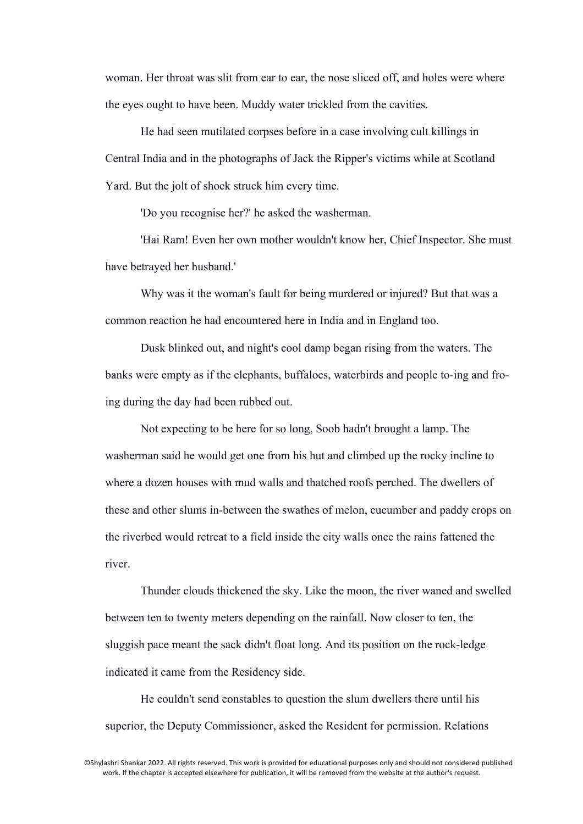woman. Her throat was slit from ear to ear, the nose sliced off, and holes were where the eyes ought to have been. Muddy water trickled from the cavities.

He had seen mutilated corpses before in a case involving cult killings in Central India and in the photographs of Jack the Ripper's victims while at Scotland Yard. But the jolt of shock struck him every time.

'Do you recognise her?' he asked the washerman.

'Hai Ram! Even her own mother wouldn't know her, Chief Inspector. She must have betrayed her husband.'

Why was it the woman's fault for being murdered or injured? But that was a common reaction he had encountered here in India and in England too.

Dusk blinked out, and night's cool damp began rising from the waters. The banks were empty as if the elephants, buffaloes, waterbirds and people to-ing and froing during the day had been rubbed out.

Not expecting to be here for so long, Soob hadn't brought a lamp. The washerman said he would get one from his hut and climbed up the rocky incline to where a dozen houses with mud walls and thatched roofs perched. The dwellers of these and other slums in-between the swathes of melon, cucumber and paddy crops on the riverbed would retreat to a field inside the city walls once the rains fattened the river.

Thunder clouds thickened the sky. Like the moon, the river waned and swelled between ten to twenty meters depending on the rainfall. Now closer to ten, the sluggish pace meant the sack didn't float long. And its position on the rock-ledge indicated it came from the Residency side.

He couldn't send constables to question the slum dwellers there until his superior, the Deputy Commissioner, asked the Resident for permission. Relations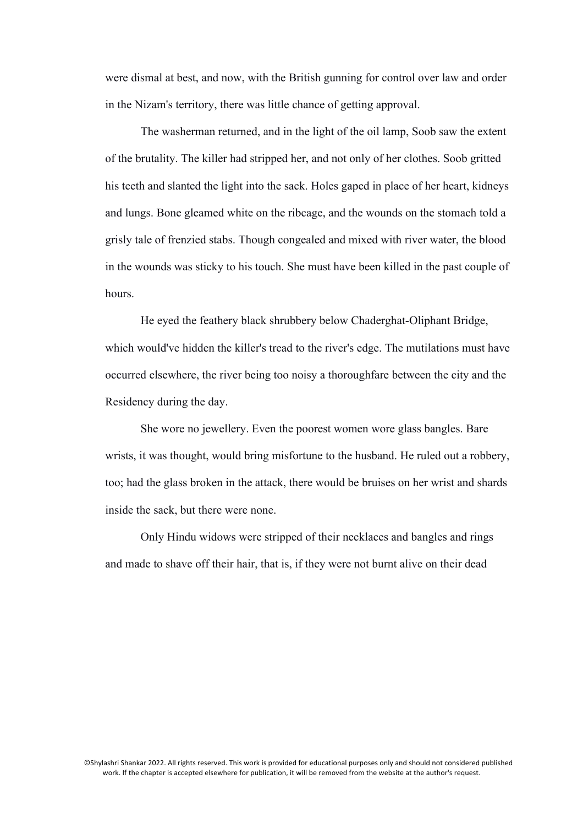were dismal at best, and now, with the British gunning for control over law and order in the Nizam's territory, there was little chance of getting approval.

The washerman returned, and in the light of the oil lamp, Soob saw the extent of the brutality. The killer had stripped her, and not only of her clothes. Soob gritted his teeth and slanted the light into the sack. Holes gaped in place of her heart, kidneys and lungs. Bone gleamed white on the ribcage, and the wounds on the stomach told a grisly tale of frenzied stabs. Though congealed and mixed with river water, the blood in the wounds was sticky to his touch. She must have been killed in the past couple of hours.

He eyed the feathery black shrubbery below Chaderghat-Oliphant Bridge, which would've hidden the killer's tread to the river's edge. The mutilations must have occurred elsewhere, the river being too noisy a thoroughfare between the city and the Residency during the day.

She wore no jewellery. Even the poorest women wore glass bangles. Bare wrists, it was thought, would bring misfortune to the husband. He ruled out a robbery, too; had the glass broken in the attack, there would be bruises on her wrist and shards inside the sack, but there were none.

Only Hindu widows were stripped of their necklaces and bangles and rings and made to shave off their hair, that is, if they were not burnt alive on their dead